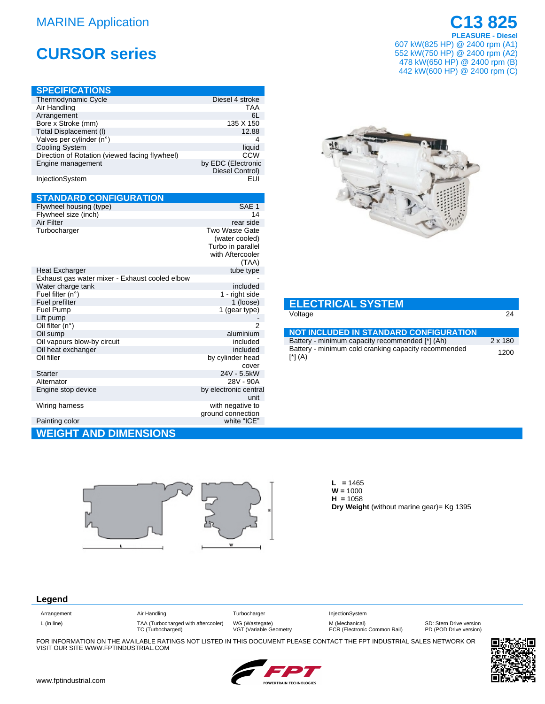## **MARINE Application**

## **CURSOR series**

| <b>SPECIFICATIONS</b>                          |                                       |
|------------------------------------------------|---------------------------------------|
| Thermodynamic Cycle                            | Diesel 4 stroke                       |
| Air Handling                                   | <b>TAA</b>                            |
| Arrangement                                    | 6L                                    |
| Bore x Stroke (mm)                             | 135 X 150                             |
| Total Displacement (I)                         | 12.88                                 |
| Valves per cylinder (n°)                       | 4                                     |
| <b>Cooling System</b>                          | liquid                                |
| Direction of Rotation (viewed facing flywheel) | CCW                                   |
| Engine management                              | by EDC (Electronic<br>Diesel Control) |
| InjectionSystem                                | FUI                                   |

| <b>STANDARD CONFIGURATION</b>                  |                                       |  |  |
|------------------------------------------------|---------------------------------------|--|--|
| Flywheel housing (type)                        | SAE <sub>1</sub>                      |  |  |
| Flywheel size (inch)                           | 14                                    |  |  |
| Air Filter                                     | rear side                             |  |  |
| Turbocharger                                   | Two Waste Gate                        |  |  |
|                                                | (water cooled)                        |  |  |
|                                                | Turbo in parallel<br>with Aftercooler |  |  |
|                                                | (TAA)                                 |  |  |
| Heat Excharger                                 | tube type                             |  |  |
| Exhaust gas water mixer - Exhaust cooled elbow |                                       |  |  |
| Water charge tank                              | included                              |  |  |
| Fuel filter (n°)                               | 1 - right side                        |  |  |
| Fuel prefilter                                 | 1 (loose)                             |  |  |
| <b>Fuel Pump</b>                               | 1 (gear type)                         |  |  |
| Lift pump                                      |                                       |  |  |
| Oil filter (n°)                                | 2                                     |  |  |
| Oil sump                                       | aluminium                             |  |  |
| Oil vapours blow-by circuit                    | included<br>included                  |  |  |
| Oil heat exchanger<br>Oil filler               | by cylinder head                      |  |  |
|                                                | cover                                 |  |  |
| Starter                                        | 24V - 5.5kW                           |  |  |
| Alternator                                     | 28V - 90A                             |  |  |
| Engine stop device                             | by electronic central                 |  |  |
|                                                | unit                                  |  |  |
| Wiring harness                                 | with negative to                      |  |  |
|                                                | ground connection                     |  |  |
| Painting color                                 | white "ICE"                           |  |  |
| <b>WEIGHT AND DIMENSIONS</b>                   |                                       |  |  |

C<sub>13</sub>825 **PLEASURE - Diesel** 607 kW(825 HP) @ 2400 rpm (A1) 552 kW(750 HP) @ 2400 rpm (A2) 478 kW(650 HP) @ 2400 rpm (B)<br>442 kW(600 HP) @ 2400 rpm (C)



| <b>ELECTRICAL SYSTEM</b> |  |
|--------------------------|--|
| Voltage                  |  |

| <b>NOT INCLUDED IN STANDARD CONFIGURATION</b>                   |         |
|-----------------------------------------------------------------|---------|
| Battery - minimum capacity recommended [*] (Ah)                 | 2 x 180 |
| Battery - minimum cold cranking capacity recommended<br>[*] (A) | 1200    |



 $L = 1465$  $W = 1000$  $H = 1058$ Dry Weight (without marine gear)= Kg 1395

## Legend

| Arrangement |  |
|-------------|--|
| L (in line) |  |

Air Handling TAA (Turbocharged with aftercooler)<br>TC (Turbocharged) Turbocharger WG (Wastegate)<br>VGT (Variable Geometry InjectionSystem M (Mechanical)<br>ECR (Electronic Common Rail)

SD: Stern Drive version<br>PD (POD Drive version)

FOR INFORMATION ON THE AVAILABLE RATINGS NOT LISTED IN THIS DOCUMENT PLEASE CONTACT THE FPT INDUSTRIAL SALES NETWORK OR VISIT OUR SITE WWW.FPTINDUSTRIAL.COM



 $\overline{24}$